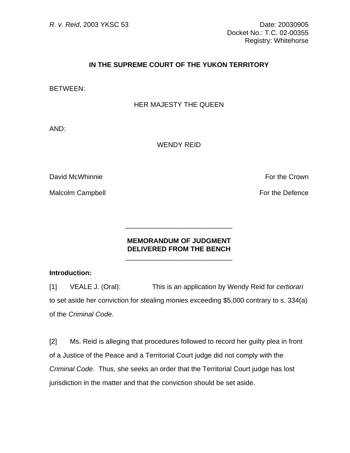# **IN THE SUPREME COURT OF THE YUKON TERRITORY**

BETWEEN:

## HER MAJESTY THE QUEEN

AND:

WENDY REID

David McWhinnie For the Crown

Malcolm Campbell **For the Defence** 

### **MEMORANDUM OF JUDGMENT DELIVERED FROM THE BENCH**   $\frac{1}{\sqrt{2\pi}}$  ,  $\frac{1}{\sqrt{2\pi}}$  ,  $\frac{1}{\sqrt{2\pi}}$  ,  $\frac{1}{\sqrt{2\pi}}$  ,  $\frac{1}{\sqrt{2\pi}}$  ,  $\frac{1}{\sqrt{2\pi}}$  ,  $\frac{1}{\sqrt{2\pi}}$  ,  $\frac{1}{\sqrt{2\pi}}$  ,  $\frac{1}{\sqrt{2\pi}}$  ,  $\frac{1}{\sqrt{2\pi}}$  ,  $\frac{1}{\sqrt{2\pi}}$  ,  $\frac{1}{\sqrt{2\pi}}$  ,  $\frac{1}{\sqrt{2\pi}}$  ,

 $\frac{1}{\sqrt{2}}$  ,  $\frac{1}{\sqrt{2}}$  ,  $\frac{1}{\sqrt{2}}$  ,  $\frac{1}{\sqrt{2}}$  ,  $\frac{1}{\sqrt{2}}$  ,  $\frac{1}{\sqrt{2}}$  ,  $\frac{1}{\sqrt{2}}$  ,  $\frac{1}{\sqrt{2}}$  ,  $\frac{1}{\sqrt{2}}$  ,  $\frac{1}{\sqrt{2}}$  ,  $\frac{1}{\sqrt{2}}$  ,  $\frac{1}{\sqrt{2}}$  ,  $\frac{1}{\sqrt{2}}$  ,  $\frac{1}{\sqrt{2}}$  ,  $\frac{1}{\sqrt{2}}$ 

### **Introduction:**

[1] VEALE J. (Oral): This is an application by Wendy Reid for *certiorari* to set aside her conviction for stealing monies exceeding \$5,000 contrary to s. 334(a) of the *Criminal Code*.

[2] Ms. Reid is alleging that procedures followed to record her guilty plea in front of a Justice of the Peace and a Territorial Court judge did not comply with the *Criminal Code*. Thus, she seeks an order that the Territorial Court judge has lost jurisdiction in the matter and that the conviction should be set aside.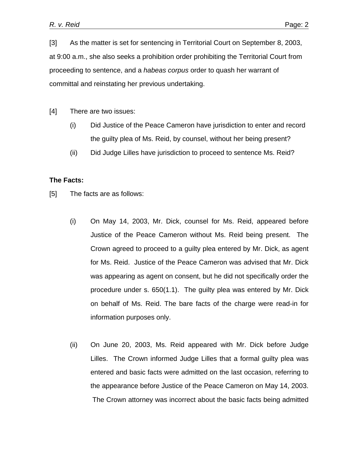[3] As the matter is set for sentencing in Territorial Court on September 8, 2003, at 9:00 a.m., she also seeks a prohibition order prohibiting the Territorial Court from proceeding to sentence, and a *habeas corpus* order to quash her warrant of committal and reinstating her previous undertaking.

[4] There are two issues:

- (i) Did Justice of the Peace Cameron have jurisdiction to enter and record the guilty plea of Ms. Reid, by counsel, without her being present?
- (ii) Did Judge Lilles have jurisdiction to proceed to sentence Ms. Reid?

#### **The Facts:**

- [5] The facts are as follows:
	- (i) On May 14, 2003, Mr. Dick, counsel for Ms. Reid, appeared before Justice of the Peace Cameron without Ms. Reid being present. The Crown agreed to proceed to a guilty plea entered by Mr. Dick, as agent for Ms. Reid. Justice of the Peace Cameron was advised that Mr. Dick was appearing as agent on consent, but he did not specifically order the procedure under s. 650(1.1). The guilty plea was entered by Mr. Dick on behalf of Ms. Reid. The bare facts of the charge were read-in for information purposes only.
	- (ii) On June 20, 2003, Ms. Reid appeared with Mr. Dick before Judge Lilles. The Crown informed Judge Lilles that a formal guilty plea was entered and basic facts were admitted on the last occasion, referring to the appearance before Justice of the Peace Cameron on May 14, 2003. The Crown attorney was incorrect about the basic facts being admitted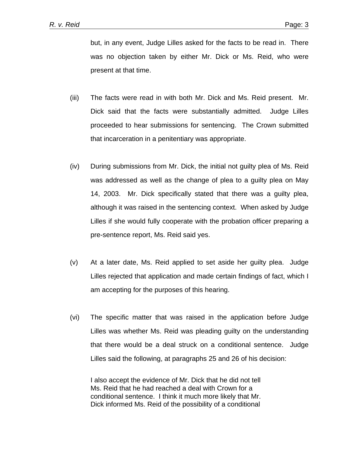but, in any event, Judge Lilles asked for the facts to be read in. There was no objection taken by either Mr. Dick or Ms. Reid, who were present at that time.

- (iii) The facts were read in with both Mr. Dick and Ms. Reid present. Mr. Dick said that the facts were substantially admitted. Judge Lilles proceeded to hear submissions for sentencing. The Crown submitted that incarceration in a penitentiary was appropriate.
- (iv) During submissions from Mr. Dick, the initial not guilty plea of Ms. Reid was addressed as well as the change of plea to a guilty plea on May 14, 2003. Mr. Dick specifically stated that there was a guilty plea, although it was raised in the sentencing context. When asked by Judge Lilles if she would fully cooperate with the probation officer preparing a pre-sentence report, Ms. Reid said yes.
- (v) At a later date, Ms. Reid applied to set aside her guilty plea. Judge Lilles rejected that application and made certain findings of fact, which I am accepting for the purposes of this hearing.
- (vi) The specific matter that was raised in the application before Judge Lilles was whether Ms. Reid was pleading guilty on the understanding that there would be a deal struck on a conditional sentence. Judge Lilles said the following, at paragraphs 25 and 26 of his decision:

I also accept the evidence of Mr. Dick that he did not tell Ms. Reid that he had reached a deal with Crown for a conditional sentence. I think it much more likely that Mr. Dick informed Ms. Reid of the possibility of a conditional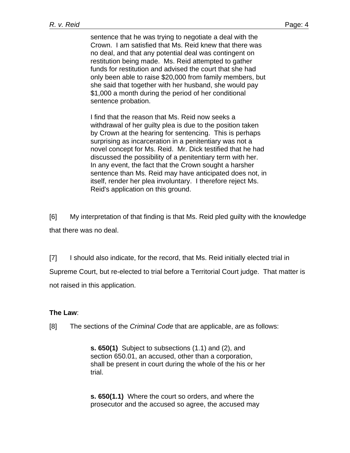sentence that he was trying to negotiate a deal with the Crown. I am satisfied that Ms. Reid knew that there was no deal, and that any potential deal was contingent on restitution being made. Ms. Reid attempted to gather funds for restitution and advised the court that she had only been able to raise \$20,000 from family members, but she said that together with her husband, she would pay \$1,000 a month during the period of her conditional sentence probation.

I find that the reason that Ms. Reid now seeks a withdrawal of her guilty plea is due to the position taken by Crown at the hearing for sentencing. This is perhaps surprising as incarceration in a penitentiary was not a novel concept for Ms. Reid. Mr. Dick testified that he had discussed the possibility of a penitentiary term with her. In any event, the fact that the Crown sought a harsher sentence than Ms. Reid may have anticipated does not, in itself, render her plea involuntary. I therefore reject Ms. Reid's application on this ground.

[6] My interpretation of that finding is that Ms. Reid pled guilty with the knowledge that there was no deal.

[7] I should also indicate, for the record, that Ms. Reid initially elected trial in Supreme Court, but re-elected to trial before a Territorial Court judge. That matter is not raised in this application.

### **The Law**:

[8] The sections of the *Criminal Code* that are applicable, are as follows:

**s. 650(1)** Subject to subsections (1.1) and (2), and section 650.01, an accused, other than a corporation, shall be present in court during the whole of the his or her trial.

**s. 650(1.1)** Where the court so orders, and where the prosecutor and the accused so agree, the accused may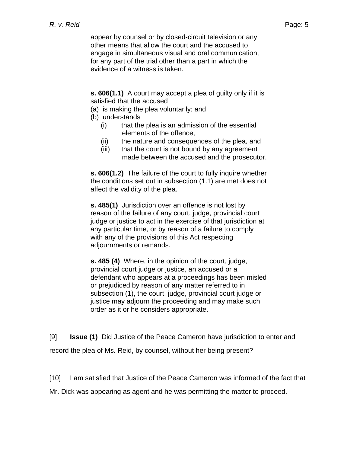appear by counsel or by closed-circuit television or any other means that allow the court and the accused to engage in simultaneous visual and oral communication, for any part of the trial other than a part in which the evidence of a witness is taken.

**s. 606(1.1)** A court may accept a plea of guilty only if it is satisfied that the accused

- (a) is making the plea voluntarily; and
- (b) understands
	- (i) that the plea is an admission of the essential elements of the offence,
	- (ii) the nature and consequences of the plea, and
	- (iii) that the court is not bound by any agreement made between the accused and the prosecutor.

**s. 606(1.2)** The failure of the court to fully inquire whether the conditions set out in subsection (1.1) are met does not affect the validity of the plea.

**s. 485(1)** Jurisdiction over an offence is not lost by reason of the failure of any court, judge, provincial court judge or justice to act in the exercise of that jurisdiction at any particular time, or by reason of a failure to comply with any of the provisions of this Act respecting adjournments or remands.

**s. 485 (4)** Where, in the opinion of the court, judge, provincial court judge or justice, an accused or a defendant who appears at a proceedings has been misled or prejudiced by reason of any matter referred to in subsection (1), the court, judge, provincial court judge or justice may adjourn the proceeding and may make such order as it or he considers appropriate.

[9] **Issue (1)** Did Justice of the Peace Cameron have jurisdiction to enter and record the plea of Ms. Reid, by counsel, without her being present?

[10] I am satisfied that Justice of the Peace Cameron was informed of the fact that

Mr. Dick was appearing as agent and he was permitting the matter to proceed.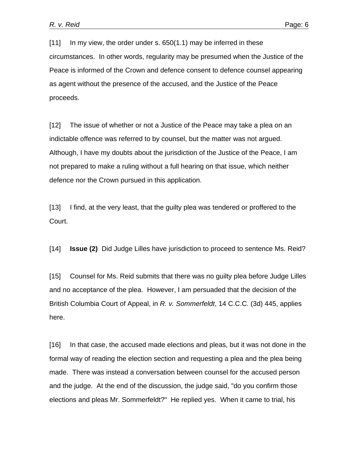[11] In my view, the order under s. 650(1.1) may be inferred in these circumstances. In other words, regularity may be presumed when the Justice of the Peace is informed of the Crown and defence consent to defence counsel appearing as agent without the presence of the accused, and the Justice of the Peace proceeds.

[12] The issue of whether or not a Justice of the Peace may take a plea on an indictable offence was referred to by counsel, but the matter was not argued. Although, I have my doubts about the jurisdiction of the Justice of the Peace, I am not prepared to make a ruling without a full hearing on that issue, which neither defence nor the Crown pursued in this application.

[13] I find, at the very least, that the guilty plea was tendered or proffered to the Court.

[14] **Issue (2)** Did Judge Lilles have jurisdiction to proceed to sentence Ms. Reid?

[15] Counsel for Ms. Reid submits that there was no guilty plea before Judge Lilles and no acceptance of the plea. However, I am persuaded that the decision of the British Columbia Court of Appeal, in *R. v. Sommerfeldt*, 14 C.C.C. (3d) 445, applies here.

[16] In that case, the accused made elections and pleas, but it was not done in the formal way of reading the election section and requesting a plea and the plea being made. There was instead a conversation between counsel for the accused person and the judge. At the end of the discussion, the judge said, "do you confirm those elections and pleas Mr. Sommerfeldt?" He replied yes. When it came to trial, his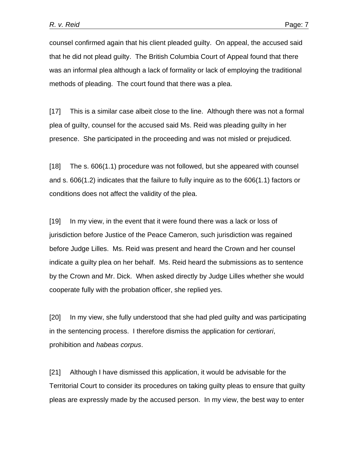counsel confirmed again that his client pleaded guilty. On appeal, the accused said that he did not plead guilty. The British Columbia Court of Appeal found that there was an informal plea although a lack of formality or lack of employing the traditional methods of pleading. The court found that there was a plea.

[17] This is a similar case albeit close to the line. Although there was not a formal plea of guilty, counsel for the accused said Ms. Reid was pleading guilty in her presence. She participated in the proceeding and was not misled or prejudiced.

[18] The s. 606(1.1) procedure was not followed, but she appeared with counsel and s. 606(1.2) indicates that the failure to fully inquire as to the 606(1.1) factors or conditions does not affect the validity of the plea.

[19] In my view, in the event that it were found there was a lack or loss of jurisdiction before Justice of the Peace Cameron, such jurisdiction was regained before Judge Lilles. Ms. Reid was present and heard the Crown and her counsel indicate a guilty plea on her behalf. Ms. Reid heard the submissions as to sentence by the Crown and Mr. Dick. When asked directly by Judge Lilles whether she would cooperate fully with the probation officer, she replied yes.

[20] In my view, she fully understood that she had pled guilty and was participating in the sentencing process. I therefore dismiss the application for *certiorari*, prohibition and *habeas corpus*.

[21] Although I have dismissed this application, it would be advisable for the Territorial Court to consider its procedures on taking guilty pleas to ensure that guilty pleas are expressly made by the accused person. In my view, the best way to enter